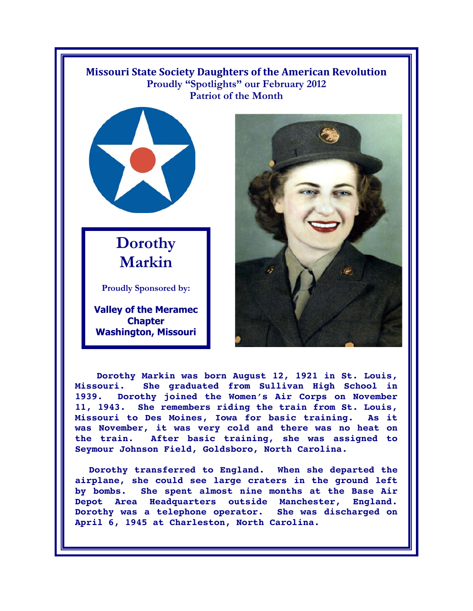## **Missouri State Society Daughters of the American Revolution Proudly "Spotlights" our February 2012 Patriot of the Month**



## **Dorothy Markin**

**Proudly Sponsored by:** 

**Valley of the Meramec Chapter Washington, Missouri**



 **Dorothy Markin was born August 12, 1921 in St. Louis, Missouri. She graduated from Sullivan High School in 1939. Dorothy joined the Women's Air Corps on November 11, 1943. She remembers riding the train from St. Louis, Missouri to Des Moines, Iowa for basic training. As it was November, it was very cold and there was no heat on the train. After basic training, she was assigned to Seymour Johnson Field, Goldsboro, North Carolina.** 

**Dorothy transferred to England. When she departed the airplane, she could see large craters in the ground left by bombs. She spent almost nine months at the Base Air Depot Area Headquarters outside Manchester, England. Dorothy was a telephone operator. She was discharged on April 6, 1945 at Charleston, North Carolina.**